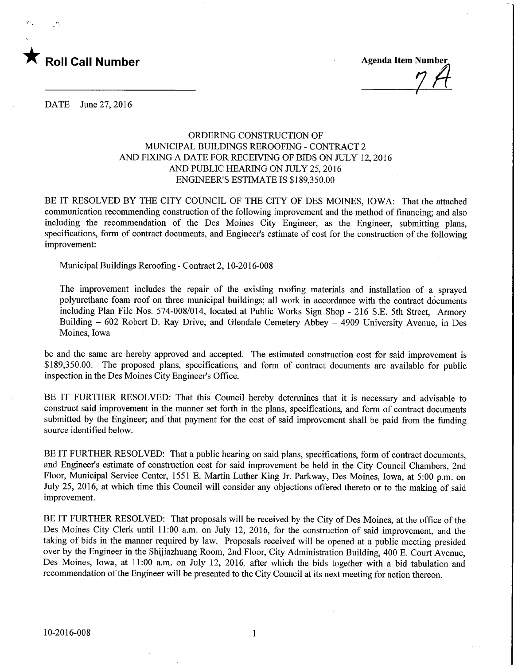

у,

z&

DATE June 27, 2016

## ORDERING CONSTRUCTION OF MUNICIPAL BUILDINGS REROOFING - CONTRACT 2 AND FIXING A DATE FOR RECEIVING OF BIDS ON JULY 12, 2016 AND PUBLIC HEARING ON JULY 25, 2016 ENGINEER'S ESTIMATE IS \$189,350.00

BE IT RESOLVED BY THE CITY COUNCIL OF THE CITY OF DES MOINES, IOWA: That the attached communication recommending construction of the following improvement and the method of financing; and also including the recommendation of the Des Moines City Engineer, as the Engineer, submitting plans, specifications, form of contract documents, and Engineer's estimate of cost for the construction of the following improvement:

Municipal Buildings Reroofmg- Contract 2, 10-2016-008

The improvement includes the repair of the existing roofing materials and installation of a sprayed polyurethane foam roof on three municipal buildings; all work in accordance with the contract documents including Plan File Nos. 574-008/014, located at Public Works Sign Shop - 216 S.E. 5th Street, Armory Building - 602 Robert D. Ray Drive, and Glendale Cemetery Abbey - 4909 University Avenue, in Des Moines, Iowa

be and the same are hereby approved and accepted. The estimated construction cost for said improvement is \$189,350.00. The proposed plans, specifications, and form of contract documents are available for public inspection in the Des Moines City Engineer's Office.

BE IT FURTHER RESOLVED: That this Council hereby determines that it is necessary and advisable to construct said improvement in the manner set forth in the plans, specifications, and form of contract documents submitted by the Engineer; and that payment for the cost of said improvement shall be paid from the funding source identified below.

BE IT FURTHER RESOLVED: That a public hearing on said plans, specifications, form of contract documents, and Engineer's estimate of construction cost for said improvement be held in the City Council Chambers, 2nd Floor, Municipal Service Center, 1551 E. Martin Luther King Jr. Parkway, Des Moines, Iowa, at 5:00 p.m. on July 25, 2016, at which time this Council will consider any objections offered thereto or to the making of said improvement.

BE IT FURTHER RESOLVED: That proposals will be received by the City of Des Moines, at the office of the Des Moines City Clerk until 11:00 a.m. on July 12, 2016, for the construction of said improvement, and the taking of bids in the manner required by law. Proposals received will be opened at a public meeting presided over by the Engineer in the Shijiazhuang Room, 2nd Floor, City Administration Building, 400 E. Court Avenue, Des Moines, Iowa, at 11:00 a.m. on July 12, 2016, after which the bids together with a bid tabulation and recommendation of the Engineer will be presented to the City Council at its next meeting for action thereon.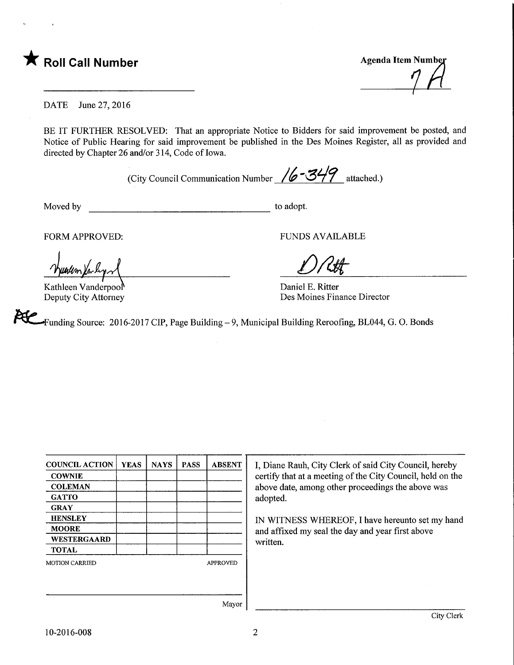

DATE June 27, 2016

BE IT FURTHER RESOLVED: That an appropriate Notice to Bidders for said improvement be posted, and Notice of Public Hearing for said improvement be published in the Des Moines Register, all as provided and directed by Chapter 26 and/or 314, Code of Iowa.

(City Council Communication Number  $/6 - 349$  attached.)

Moved by to adopt.

unum Yn l

Kathleen Vanderpool Deputy City Attorney

FORM APPROVED: FUNDS AVAILABLE

 $D$ Rtt

Daniel E. Ritter Des Moines Finance Director

PUC Funding Source: 2016-2017 CIP, Page Building - 9, Municipal Building Reroofing, BL044, G. O. Bonds

| <b>COUNCIL ACTION</b> | <b>YEAS</b> | <b>NAYS</b> | <b>PASS</b> | <b>ABSENT</b>                                    | I, Diane Rauh, City Clerk of said City Council, hereby     |
|-----------------------|-------------|-------------|-------------|--------------------------------------------------|------------------------------------------------------------|
| <b>COWNIE</b>         |             |             |             |                                                  | certify that at a meeting of the City Council, held on the |
| <b>COLEMAN</b>        |             |             |             |                                                  | above date, among other proceedings the above was          |
| <b>GATTO</b>          |             |             |             |                                                  | adopted.                                                   |
| <b>GRAY</b>           |             |             |             |                                                  |                                                            |
| <b>HENSLEY</b>        |             |             |             |                                                  | IN WITNESS WHEREOF, I have hereunto set my hand            |
| <b>MOORE</b>          |             |             |             | and affixed my seal the day and year first above |                                                            |
| <b>WESTERGAARD</b>    |             |             |             |                                                  | written.                                                   |
| <b>TOTAL</b>          |             |             |             |                                                  |                                                            |
| <b>MOTION CARRIED</b> |             |             |             | <b>APPROVED</b>                                  |                                                            |
|                       |             |             |             |                                                  |                                                            |
|                       |             |             |             |                                                  |                                                            |
|                       |             |             |             |                                                  |                                                            |
|                       |             |             |             | Mayor                                            |                                                            |